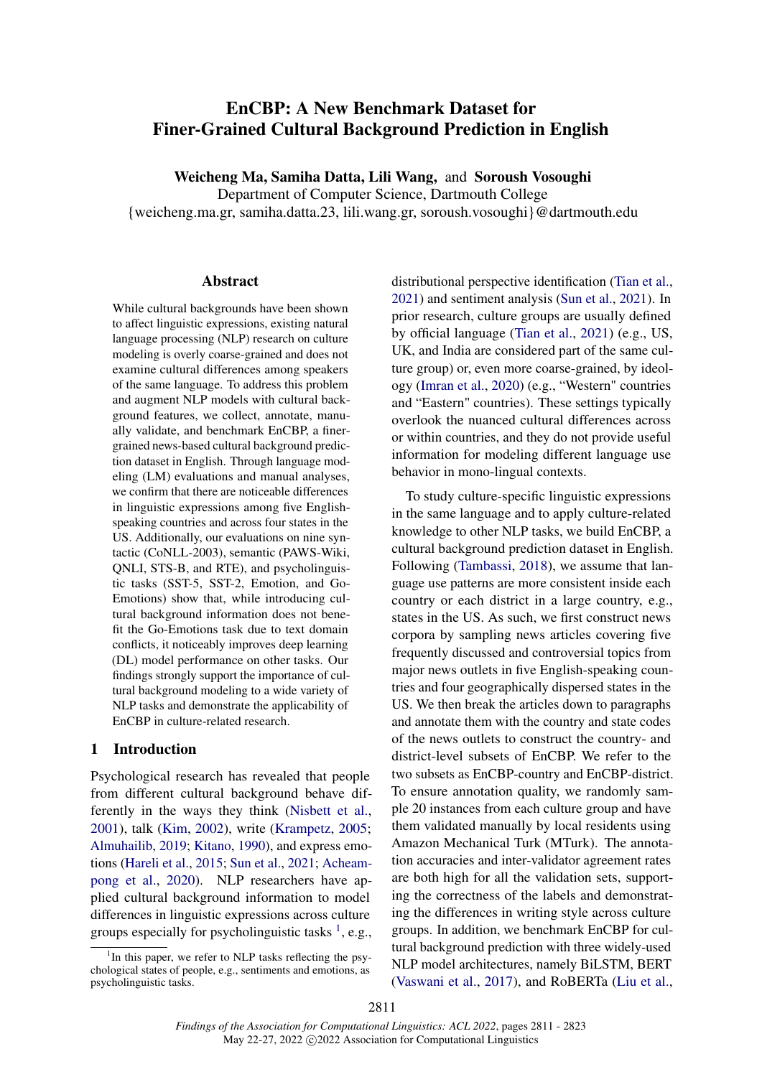# EnCBP: A New Benchmark Dataset for Finer-Grained Cultural Background Prediction in English

Weicheng Ma, Samiha Datta, Lili Wang, and Soroush Vosoughi

Department of Computer Science, Dartmouth College

{weicheng.ma.gr, samiha.datta.23, lili.wang.gr, soroush.vosoughi}@dartmouth.edu

#### Abstract

While cultural backgrounds have been shown to affect linguistic expressions, existing natural language processing (NLP) research on culture modeling is overly coarse-grained and does not examine cultural differences among speakers of the same language. To address this problem and augment NLP models with cultural background features, we collect, annotate, manually validate, and benchmark EnCBP, a finergrained news-based cultural background prediction dataset in English. Through language modeling (LM) evaluations and manual analyses, we confirm that there are noticeable differences in linguistic expressions among five Englishspeaking countries and across four states in the US. Additionally, our evaluations on nine syntactic (CoNLL-2003), semantic (PAWS-Wiki, QNLI, STS-B, and RTE), and psycholinguistic tasks (SST-5, SST-2, Emotion, and Go-Emotions) show that, while introducing cultural background information does not benefit the Go-Emotions task due to text domain conflicts, it noticeably improves deep learning (DL) model performance on other tasks. Our findings strongly support the importance of cultural background modeling to a wide variety of NLP tasks and demonstrate the applicability of EnCBP in culture-related research.

### 1 Introduction

Psychological research has revealed that people from different cultural background behave differently in the ways they think [\(Nisbett et al.,](#page-10-0) [2001\)](#page-10-0), talk [\(Kim,](#page-9-0) [2002\)](#page-9-0), write [\(Krampetz,](#page-9-1) [2005;](#page-9-1) [Almuhailib,](#page-9-2) [2019;](#page-9-2) [Kitano,](#page-9-3) [1990\)](#page-9-3), and express emotions [\(Hareli et al.,](#page-9-4) [2015;](#page-9-4) [Sun et al.,](#page-10-1) [2021;](#page-10-1) [Acheam](#page-9-5)[pong et al.,](#page-9-5) [2020\)](#page-9-5). NLP researchers have applied cultural background information to model differences in linguistic expressions across culture groups especially for psycholinguistic tasks  $<sup>1</sup>$  $<sup>1</sup>$  $<sup>1</sup>$ , e.g.,</sup>

distributional perspective identification [\(Tian et al.,](#page-10-2) [2021\)](#page-10-2) and sentiment analysis [\(Sun et al.,](#page-10-1) [2021\)](#page-10-1). In prior research, culture groups are usually defined by official language [\(Tian et al.,](#page-10-2) [2021\)](#page-10-2) (e.g., US, UK, and India are considered part of the same culture group) or, even more coarse-grained, by ideology [\(Imran et al.,](#page-9-6) [2020\)](#page-9-6) (e.g., "Western" countries and "Eastern" countries). These settings typically overlook the nuanced cultural differences across or within countries, and they do not provide useful information for modeling different language use behavior in mono-lingual contexts.

To study culture-specific linguistic expressions in the same language and to apply culture-related knowledge to other NLP tasks, we build EnCBP, a cultural background prediction dataset in English. Following [\(Tambassi,](#page-10-3) [2018\)](#page-10-3), we assume that language use patterns are more consistent inside each country or each district in a large country, e.g., states in the US. As such, we first construct news corpora by sampling news articles covering five frequently discussed and controversial topics from major news outlets in five English-speaking countries and four geographically dispersed states in the US. We then break the articles down to paragraphs and annotate them with the country and state codes of the news outlets to construct the country- and district-level subsets of EnCBP. We refer to the two subsets as EnCBP-country and EnCBP-district. To ensure annotation quality, we randomly sample 20 instances from each culture group and have them validated manually by local residents using Amazon Mechanical Turk (MTurk). The annotation accuracies and inter-validator agreement rates are both high for all the validation sets, supporting the correctness of the labels and demonstrating the differences in writing style across culture groups. In addition, we benchmark EnCBP for cultural background prediction with three widely-used NLP model architectures, namely BiLSTM, BERT [\(Vaswani et al.,](#page-10-4) [2017\)](#page-10-4), and RoBERTa [\(Liu et al.,](#page-10-5)

<span id="page-0-0"></span><sup>&</sup>lt;sup>1</sup>In this paper, we refer to NLP tasks reflecting the psychological states of people, e.g., sentiments and emotions, as psycholinguistic tasks.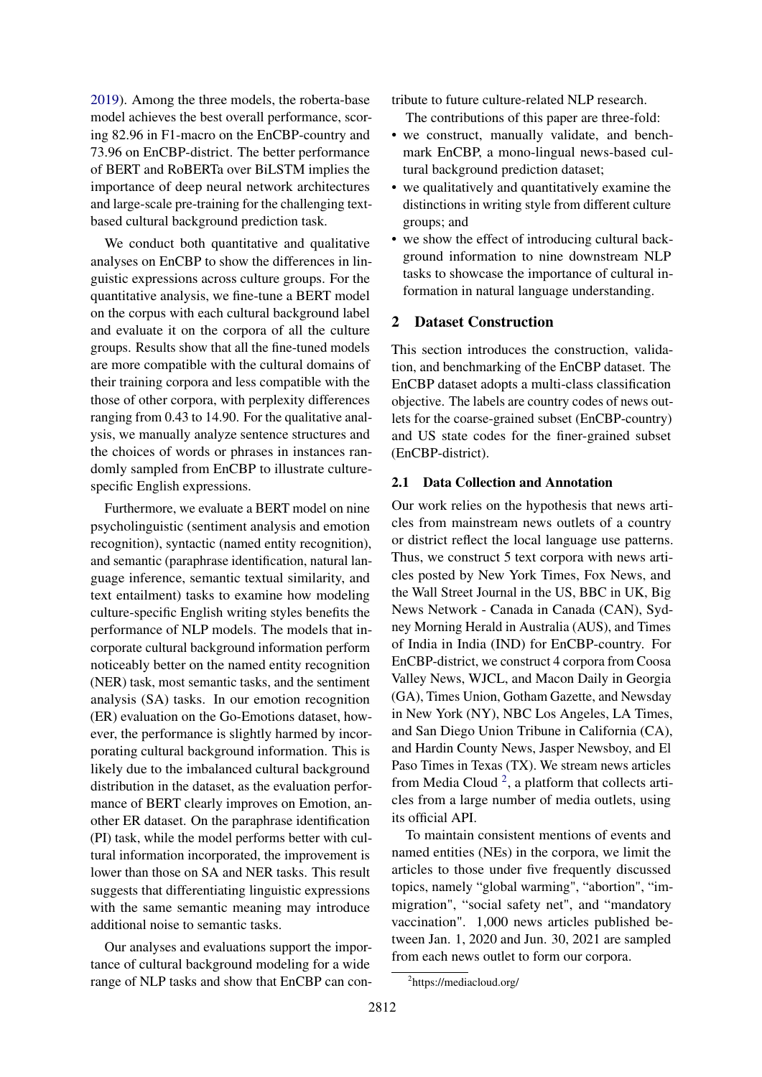[2019\)](#page-10-5). Among the three models, the roberta-base model achieves the best overall performance, scoring 82.96 in F1-macro on the EnCBP-country and 73.96 on EnCBP-district. The better performance of BERT and RoBERTa over BiLSTM implies the importance of deep neural network architectures and large-scale pre-training for the challenging textbased cultural background prediction task.

We conduct both quantitative and qualitative analyses on EnCBP to show the differences in linguistic expressions across culture groups. For the quantitative analysis, we fine-tune a BERT model on the corpus with each cultural background label and evaluate it on the corpora of all the culture groups. Results show that all the fine-tuned models are more compatible with the cultural domains of their training corpora and less compatible with the those of other corpora, with perplexity differences ranging from 0.43 to 14.90. For the qualitative analysis, we manually analyze sentence structures and the choices of words or phrases in instances randomly sampled from EnCBP to illustrate culturespecific English expressions.

Furthermore, we evaluate a BERT model on nine psycholinguistic (sentiment analysis and emotion recognition), syntactic (named entity recognition), and semantic (paraphrase identification, natural language inference, semantic textual similarity, and text entailment) tasks to examine how modeling culture-specific English writing styles benefits the performance of NLP models. The models that incorporate cultural background information perform noticeably better on the named entity recognition (NER) task, most semantic tasks, and the sentiment analysis (SA) tasks. In our emotion recognition (ER) evaluation on the Go-Emotions dataset, however, the performance is slightly harmed by incorporating cultural background information. This is likely due to the imbalanced cultural background distribution in the dataset, as the evaluation performance of BERT clearly improves on Emotion, another ER dataset. On the paraphrase identification (PI) task, while the model performs better with cultural information incorporated, the improvement is lower than those on SA and NER tasks. This result suggests that differentiating linguistic expressions with the same semantic meaning may introduce additional noise to semantic tasks.

Our analyses and evaluations support the importance of cultural background modeling for a wide range of NLP tasks and show that EnCBP can contribute to future culture-related NLP research.

The contributions of this paper are three-fold:

- we construct, manually validate, and benchmark EnCBP, a mono-lingual news-based cultural background prediction dataset;
- we qualitatively and quantitatively examine the distinctions in writing style from different culture groups; and
- we show the effect of introducing cultural background information to nine downstream NLP tasks to showcase the importance of cultural information in natural language understanding.

### 2 Dataset Construction

This section introduces the construction, validation, and benchmarking of the EnCBP dataset. The EnCBP dataset adopts a multi-class classification objective. The labels are country codes of news outlets for the coarse-grained subset (EnCBP-country) and US state codes for the finer-grained subset (EnCBP-district).

### 2.1 Data Collection and Annotation

Our work relies on the hypothesis that news articles from mainstream news outlets of a country or district reflect the local language use patterns. Thus, we construct 5 text corpora with news articles posted by New York Times, Fox News, and the Wall Street Journal in the US, BBC in UK, Big News Network - Canada in Canada (CAN), Sydney Morning Herald in Australia (AUS), and Times of India in India (IND) for EnCBP-country. For EnCBP-district, we construct 4 corpora from Coosa Valley News, WJCL, and Macon Daily in Georgia (GA), Times Union, Gotham Gazette, and Newsday in New York (NY), NBC Los Angeles, LA Times, and San Diego Union Tribune in California (CA), and Hardin County News, Jasper Newsboy, and El Paso Times in Texas (TX). We stream news articles from Media Cloud<sup>[2](#page-1-0)</sup>, a platform that collects articles from a large number of media outlets, using its official API.

To maintain consistent mentions of events and named entities (NEs) in the corpora, we limit the articles to those under five frequently discussed topics, namely "global warming", "abortion", "immigration", "social safety net", and "mandatory vaccination". 1,000 news articles published between Jan. 1, 2020 and Jun. 30, 2021 are sampled from each news outlet to form our corpora.

<span id="page-1-0"></span><sup>&</sup>lt;sup>2</sup>https://mediacloud.org/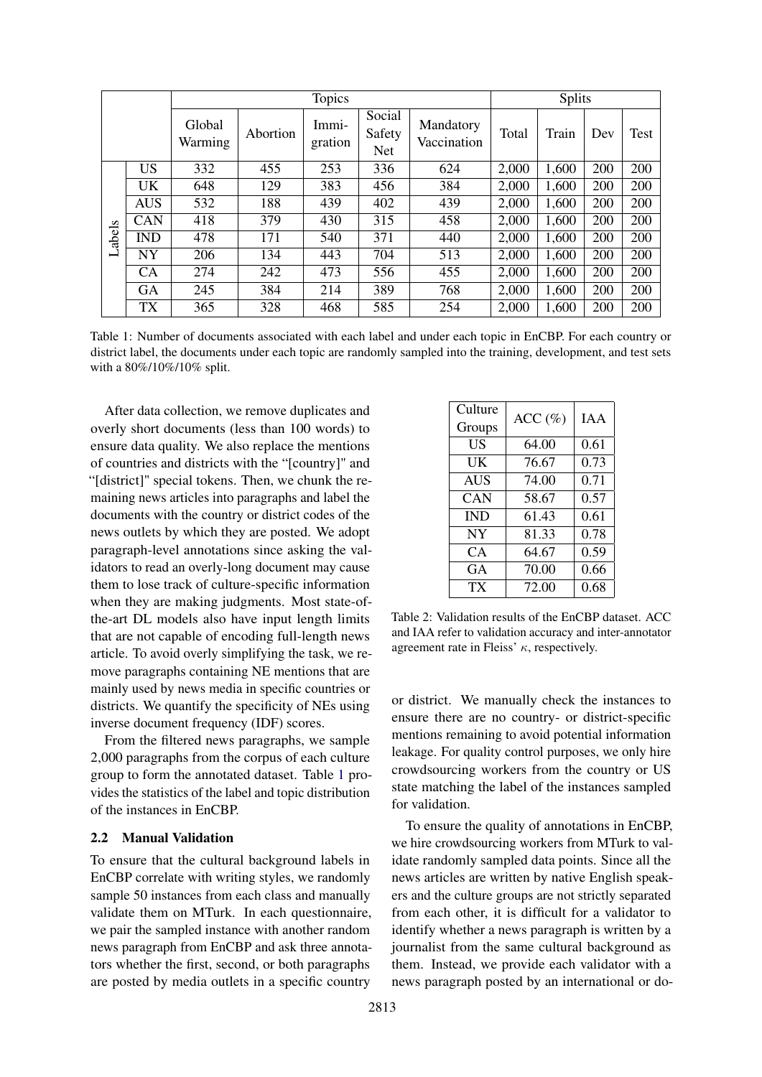<span id="page-2-0"></span>

|        |            |                   |          | <b>Topics</b>    |                          |                          |       | <b>Splits</b> |     |      |  |
|--------|------------|-------------------|----------|------------------|--------------------------|--------------------------|-------|---------------|-----|------|--|
|        |            | Global<br>Warming | Abortion | Immi-<br>gration | Social<br>Safety<br>Net. | Mandatory<br>Vaccination | Total | Train         | Dev | Test |  |
|        | <b>US</b>  | 332               | 455      | 253              | 336                      | 624                      | 2,000 | 1,600         | 200 | 200  |  |
|        | UK         | 648               | 129      | 383              | 456                      | 384                      | 2,000 | 1,600         | 200 | 200  |  |
|        | <b>AUS</b> | 532               | 188      | 439              | 402                      | 439                      | 2,000 | 1,600         | 200 | 200  |  |
|        | <b>CAN</b> | 418               | 379      | 430              | 315                      | 458                      | 2,000 | 1,600         | 200 | 200  |  |
| Labels | <b>IND</b> | 478               | 171      | 540              | 371                      | 440                      | 2,000 | 1,600         | 200 | 200  |  |
|        | <b>NY</b>  | 206               | 134      | 443              | 704                      | 513                      | 2,000 | 1,600         | 200 | 200  |  |
|        | <b>CA</b>  | 274               | 242      | 473              | 556                      | 455                      | 2,000 | 1,600         | 200 | 200  |  |
|        | <b>GA</b>  | 245               | 384      | 214              | 389                      | 768                      | 2,000 | 1,600         | 200 | 200  |  |
|        | <b>TX</b>  | 365               | 328      | 468              | 585                      | 254                      | 2,000 | 1,600         | 200 | 200  |  |

Table 1: Number of documents associated with each label and under each topic in EnCBP. For each country or district label, the documents under each topic are randomly sampled into the training, development, and test sets with a 80%/10%/10% split.

After data collection, we remove duplicates and overly short documents (less than 100 words) to ensure data quality. We also replace the mentions of countries and districts with the "[country]" and "[district]" special tokens. Then, we chunk the remaining news articles into paragraphs and label the documents with the country or district codes of the news outlets by which they are posted. We adopt paragraph-level annotations since asking the validators to read an overly-long document may cause them to lose track of culture-specific information when they are making judgments. Most state-ofthe-art DL models also have input length limits that are not capable of encoding full-length news article. To avoid overly simplifying the task, we remove paragraphs containing NE mentions that are mainly used by news media in specific countries or districts. We quantify the specificity of NEs using inverse document frequency (IDF) scores.

From the filtered news paragraphs, we sample 2,000 paragraphs from the corpus of each culture group to form the annotated dataset. Table [1](#page-2-0) provides the statistics of the label and topic distribution of the instances in EnCBP.

### 2.2 Manual Validation

To ensure that the cultural background labels in EnCBP correlate with writing styles, we randomly sample 50 instances from each class and manually validate them on MTurk. In each questionnaire, we pair the sampled instance with another random news paragraph from EnCBP and ask three annotators whether the first, second, or both paragraphs are posted by media outlets in a specific country

<span id="page-2-1"></span>

| Culture<br>Groups | $ACC (\%)$ | <b>IAA</b> |
|-------------------|------------|------------|
| <b>US</b>         | 64.00      | 0.61       |
| UK                | 76.67      | 0.73       |
| <b>AUS</b>        | 74.00      | 0.71       |
| CAN               | 58.67      | 0.57       |
| <b>IND</b>        | 61.43      | 0.61       |
| <b>NY</b>         | 81.33      | 0.78       |
| CA                | 64.67      | 0.59       |
| GA                | 70.00      | 0.66       |
| ТX                | 72.00      | 0.68       |

Table 2: Validation results of the EnCBP dataset. ACC and IAA refer to validation accuracy and inter-annotator agreement rate in Fleiss'  $\kappa$ , respectively.

or district. We manually check the instances to ensure there are no country- or district-specific mentions remaining to avoid potential information leakage. For quality control purposes, we only hire crowdsourcing workers from the country or US state matching the label of the instances sampled for validation.

To ensure the quality of annotations in EnCBP, we hire crowdsourcing workers from MTurk to validate randomly sampled data points. Since all the news articles are written by native English speakers and the culture groups are not strictly separated from each other, it is difficult for a validator to identify whether a news paragraph is written by a journalist from the same cultural background as them. Instead, we provide each validator with a news paragraph posted by an international or do-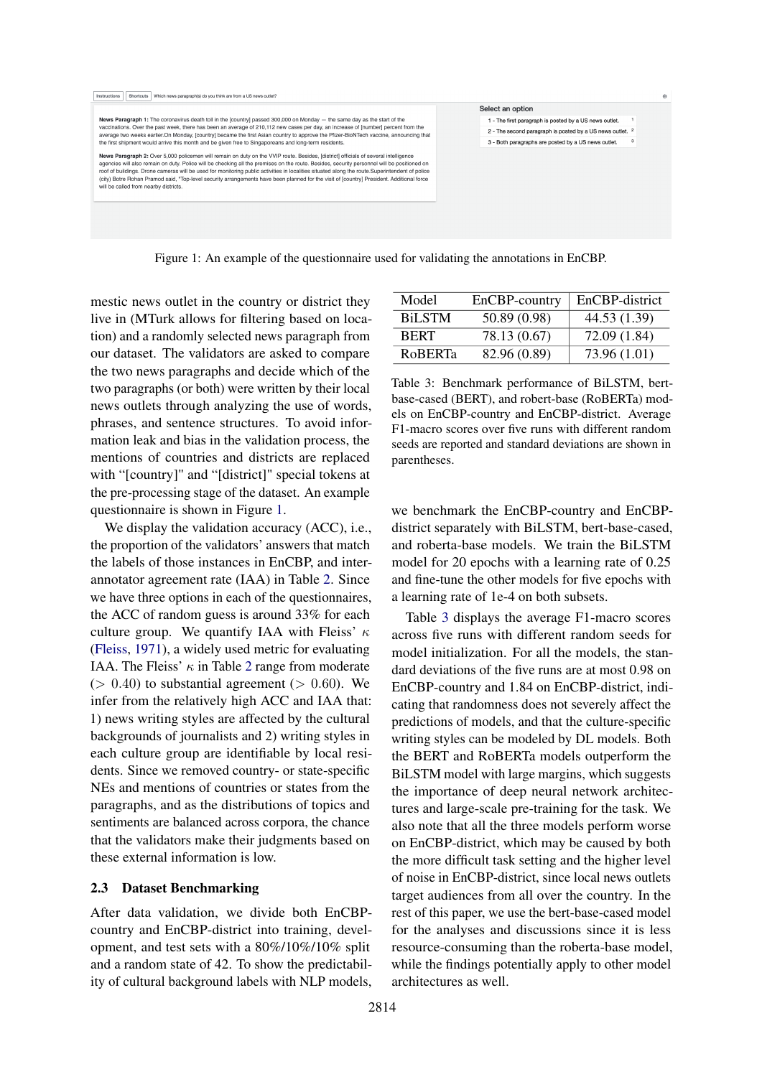<span id="page-3-0"></span>

Figure 1: An example of the questionnaire used for validating the annotations in EnCBP.

mestic news outlet in the country or district they live in (MTurk allows for filtering based on location) and a randomly selected news paragraph from our dataset. The validators are asked to compare the two news paragraphs and decide which of the two paragraphs (or both) were written by their local news outlets through analyzing the use of words, phrases, and sentence structures. To avoid information leak and bias in the validation process, the mentions of countries and districts are replaced with "[country]" and "[district]" special tokens at the pre-processing stage of the dataset. An example questionnaire is shown in Figure [1.](#page-3-0)

We display the validation accuracy (ACC), i.e., the proportion of the validators' answers that match the labels of those instances in EnCBP, and interannotator agreement rate (IAA) in Table [2.](#page-2-1) Since we have three options in each of the questionnaires, the ACC of random guess is around 33% for each culture group. We quantify IAA with Fleiss'  $\kappa$ [\(Fleiss,](#page-9-7) [1971\)](#page-9-7), a widely used metric for evaluating IAA. The Fleiss'  $\kappa$  in Table [2](#page-2-1) range from moderate  $(> 0.40)$  to substantial agreement  $(> 0.60)$ . We infer from the relatively high ACC and IAA that: 1) news writing styles are affected by the cultural backgrounds of journalists and 2) writing styles in each culture group are identifiable by local residents. Since we removed country- or state-specific NEs and mentions of countries or states from the paragraphs, and as the distributions of topics and sentiments are balanced across corpora, the chance that the validators make their judgments based on these external information is low.

#### 2.3 Dataset Benchmarking

After data validation, we divide both EnCBPcountry and EnCBP-district into training, development, and test sets with a 80%/10%/10% split and a random state of 42. To show the predictability of cultural background labels with NLP models,

<span id="page-3-1"></span>

| Model          | EnCBP-country | EnCBP-district |
|----------------|---------------|----------------|
| <b>BiLSTM</b>  | 50.89 (0.98)  | 44.53 (1.39)   |
| <b>BERT</b>    | 78.13 (0.67)  | 72.09 (1.84)   |
| <b>ROBERTa</b> | 82.96 (0.89)  | 73.96 (1.01)   |

Table 3: Benchmark performance of BiLSTM, bertbase-cased (BERT), and robert-base (RoBERTa) models on EnCBP-country and EnCBP-district. Average F1-macro scores over five runs with different random seeds are reported and standard deviations are shown in parentheses.

we benchmark the EnCBP-country and EnCBPdistrict separately with BiLSTM, bert-base-cased, and roberta-base models. We train the BiLSTM model for 20 epochs with a learning rate of 0.25 and fine-tune the other models for five epochs with a learning rate of 1e-4 on both subsets.

Table [3](#page-3-1) displays the average F1-macro scores across five runs with different random seeds for model initialization. For all the models, the standard deviations of the five runs are at most 0.98 on EnCBP-country and 1.84 on EnCBP-district, indicating that randomness does not severely affect the predictions of models, and that the culture-specific writing styles can be modeled by DL models. Both the BERT and RoBERTa models outperform the BiLSTM model with large margins, which suggests the importance of deep neural network architectures and large-scale pre-training for the task. We also note that all the three models perform worse on EnCBP-district, which may be caused by both the more difficult task setting and the higher level of noise in EnCBP-district, since local news outlets target audiences from all over the country. In the rest of this paper, we use the bert-base-cased model for the analyses and discussions since it is less resource-consuming than the roberta-base model, while the findings potentially apply to other model architectures as well.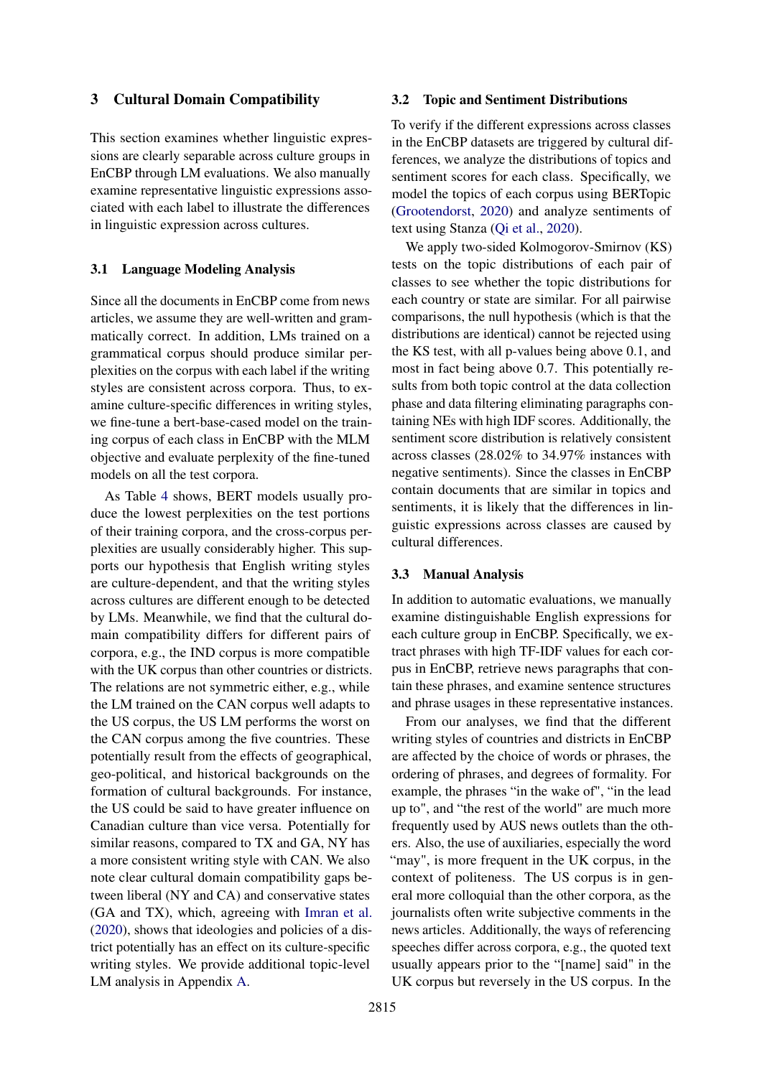### 3 Cultural Domain Compatibility

This section examines whether linguistic expressions are clearly separable across culture groups in EnCBP through LM evaluations. We also manually examine representative linguistic expressions associated with each label to illustrate the differences in linguistic expression across cultures.

### 3.1 Language Modeling Analysis

Since all the documents in EnCBP come from news articles, we assume they are well-written and grammatically correct. In addition, LMs trained on a grammatical corpus should produce similar perplexities on the corpus with each label if the writing styles are consistent across corpora. Thus, to examine culture-specific differences in writing styles, we fine-tune a bert-base-cased model on the training corpus of each class in EnCBP with the MLM objective and evaluate perplexity of the fine-tuned models on all the test corpora.

As Table [4](#page-5-0) shows, BERT models usually produce the lowest perplexities on the test portions of their training corpora, and the cross-corpus perplexities are usually considerably higher. This supports our hypothesis that English writing styles are culture-dependent, and that the writing styles across cultures are different enough to be detected by LMs. Meanwhile, we find that the cultural domain compatibility differs for different pairs of corpora, e.g., the IND corpus is more compatible with the UK corpus than other countries or districts. The relations are not symmetric either, e.g., while the LM trained on the CAN corpus well adapts to the US corpus, the US LM performs the worst on the CAN corpus among the five countries. These potentially result from the effects of geographical, geo-political, and historical backgrounds on the formation of cultural backgrounds. For instance, the US could be said to have greater influence on Canadian culture than vice versa. Potentially for similar reasons, compared to TX and GA, NY has a more consistent writing style with CAN. We also note clear cultural domain compatibility gaps between liberal (NY and CA) and conservative states (GA and TX), which, agreeing with [Imran et al.](#page-9-6) [\(2020\)](#page-9-6), shows that ideologies and policies of a district potentially has an effect on its culture-specific writing styles. We provide additional topic-level LM analysis in Appendix [A.](#page-11-0)

#### 3.2 Topic and Sentiment Distributions

To verify if the different expressions across classes in the EnCBP datasets are triggered by cultural differences, we analyze the distributions of topics and sentiment scores for each class. Specifically, we model the topics of each corpus using BERTopic [\(Grootendorst,](#page-9-8) [2020\)](#page-9-8) and analyze sentiments of text using Stanza [\(Qi et al.,](#page-10-6) [2020\)](#page-10-6).

We apply two-sided Kolmogorov-Smirnov (KS) tests on the topic distributions of each pair of classes to see whether the topic distributions for each country or state are similar. For all pairwise comparisons, the null hypothesis (which is that the distributions are identical) cannot be rejected using the KS test, with all p-values being above 0.1, and most in fact being above 0.7. This potentially results from both topic control at the data collection phase and data filtering eliminating paragraphs containing NEs with high IDF scores. Additionally, the sentiment score distribution is relatively consistent across classes (28.02% to 34.97% instances with negative sentiments). Since the classes in EnCBP contain documents that are similar in topics and sentiments, it is likely that the differences in linguistic expressions across classes are caused by cultural differences.

### 3.3 Manual Analysis

In addition to automatic evaluations, we manually examine distinguishable English expressions for each culture group in EnCBP. Specifically, we extract phrases with high TF-IDF values for each corpus in EnCBP, retrieve news paragraphs that contain these phrases, and examine sentence structures and phrase usages in these representative instances.

From our analyses, we find that the different writing styles of countries and districts in EnCBP are affected by the choice of words or phrases, the ordering of phrases, and degrees of formality. For example, the phrases "in the wake of", "in the lead up to", and "the rest of the world" are much more frequently used by AUS news outlets than the others. Also, the use of auxiliaries, especially the word "may", is more frequent in the UK corpus, in the context of politeness. The US corpus is in general more colloquial than the other corpora, as the journalists often write subjective comments in the news articles. Additionally, the ways of referencing speeches differ across corpora, e.g., the quoted text usually appears prior to the "[name] said" in the UK corpus but reversely in the US corpus. In the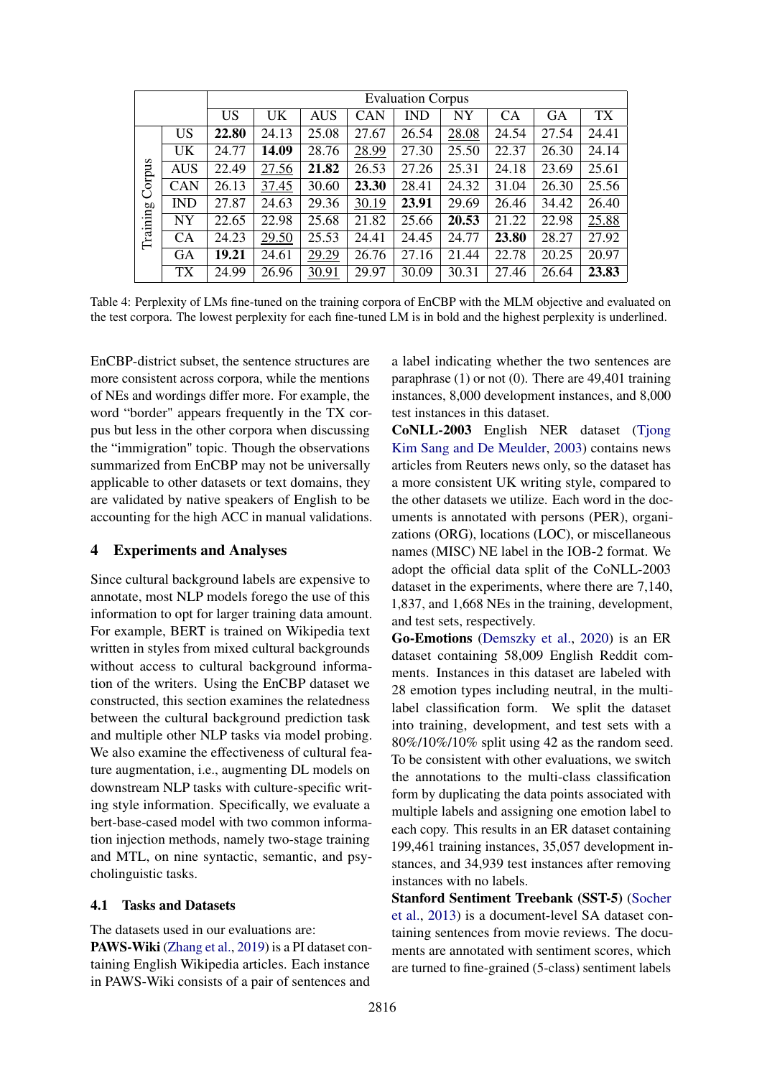<span id="page-5-0"></span>

|          |            | <b>Evaluation Corpus</b> |       |            |            |            |       |           |       |           |
|----------|------------|--------------------------|-------|------------|------------|------------|-------|-----------|-------|-----------|
|          |            | <b>US</b>                | UK    | <b>AUS</b> | <b>CAN</b> | <b>IND</b> | NY    | <b>CA</b> | GA    | <b>TX</b> |
|          | <b>US</b>  | 22.80                    | 24.13 | 25.08      | 27.67      | 26.54      | 28.08 | 24.54     | 27.54 | 24.41     |
|          | UK         | 24.77                    | 14.09 | 28.76      | 28.99      | 27.30      | 25.50 | 22.37     | 26.30 | 24.14     |
|          | <b>AUS</b> | 22.49                    | 27.56 | 21.82      | 26.53      | 27.26      | 25.31 | 24.18     | 23.69 | 25.61     |
| Corpus   | <b>CAN</b> | 26.13                    | 37.45 | 30.60      | 23.30      | 28.41      | 24.32 | 31.04     | 26.30 | 25.56     |
|          | <b>IND</b> | 27.87                    | 24.63 | 29.36      | 30.19      | 23.91      | 29.69 | 26.46     | 34.42 | 26.40     |
|          | <b>NY</b>  | 22.65                    | 22.98 | 25.68      | 21.82      | 25.66      | 20.53 | 21.22     | 22.98 | 25.88     |
| Training | <b>CA</b>  | 24.23                    | 29.50 | 25.53      | 24.41      | 24.45      | 24.77 | 23.80     | 28.27 | 27.92     |
|          | GA         | 19.21                    | 24.61 | 29.29      | 26.76      | 27.16      | 21.44 | 22.78     | 20.25 | 20.97     |
|          | <b>TX</b>  | 24.99                    | 26.96 | 30.91      | 29.97      | 30.09      | 30.31 | 27.46     | 26.64 | 23.83     |

Table 4: Perplexity of LMs fine-tuned on the training corpora of EnCBP with the MLM objective and evaluated on the test corpora. The lowest perplexity for each fine-tuned LM is in bold and the highest perplexity is underlined.

EnCBP-district subset, the sentence structures are more consistent across corpora, while the mentions of NEs and wordings differ more. For example, the word "border" appears frequently in the TX corpus but less in the other corpora when discussing the "immigration" topic. Though the observations summarized from EnCBP may not be universally applicable to other datasets or text domains, they are validated by native speakers of English to be accounting for the high ACC in manual validations.

### 4 Experiments and Analyses

Since cultural background labels are expensive to annotate, most NLP models forego the use of this information to opt for larger training data amount. For example, BERT is trained on Wikipedia text written in styles from mixed cultural backgrounds without access to cultural background information of the writers. Using the EnCBP dataset we constructed, this section examines the relatedness between the cultural background prediction task and multiple other NLP tasks via model probing. We also examine the effectiveness of cultural feature augmentation, i.e., augmenting DL models on downstream NLP tasks with culture-specific writing style information. Specifically, we evaluate a bert-base-cased model with two common information injection methods, namely two-stage training and MTL, on nine syntactic, semantic, and psycholinguistic tasks.

### 4.1 Tasks and Datasets

The datasets used in our evaluations are:

PAWS-Wiki [\(Zhang et al.,](#page-10-7) [2019\)](#page-10-7) is a PI dataset containing English Wikipedia articles. Each instance in PAWS-Wiki consists of a pair of sentences and

a label indicating whether the two sentences are paraphrase (1) or not (0). There are 49,401 training instances, 8,000 development instances, and 8,000 test instances in this dataset.

CoNLL-2003 English NER dataset [\(Tjong](#page-10-8) [Kim Sang and De Meulder,](#page-10-8) [2003\)](#page-10-8) contains news articles from Reuters news only, so the dataset has a more consistent UK writing style, compared to the other datasets we utilize. Each word in the documents is annotated with persons (PER), organizations (ORG), locations (LOC), or miscellaneous names (MISC) NE label in the IOB-2 format. We adopt the official data split of the CoNLL-2003 dataset in the experiments, where there are 7,140, 1,837, and 1,668 NEs in the training, development, and test sets, respectively.

Go-Emotions [\(Demszky et al.,](#page-9-9) [2020\)](#page-9-9) is an ER dataset containing 58,009 English Reddit comments. Instances in this dataset are labeled with 28 emotion types including neutral, in the multilabel classification form. We split the dataset into training, development, and test sets with a 80%/10%/10% split using 42 as the random seed. To be consistent with other evaluations, we switch the annotations to the multi-class classification form by duplicating the data points associated with multiple labels and assigning one emotion label to each copy. This results in an ER dataset containing 199,461 training instances, 35,057 development instances, and 34,939 test instances after removing instances with no labels.

Stanford Sentiment Treebank (SST-5) [\(Socher](#page-10-9) [et al.,](#page-10-9) [2013\)](#page-10-9) is a document-level SA dataset containing sentences from movie reviews. The documents are annotated with sentiment scores, which are turned to fine-grained (5-class) sentiment labels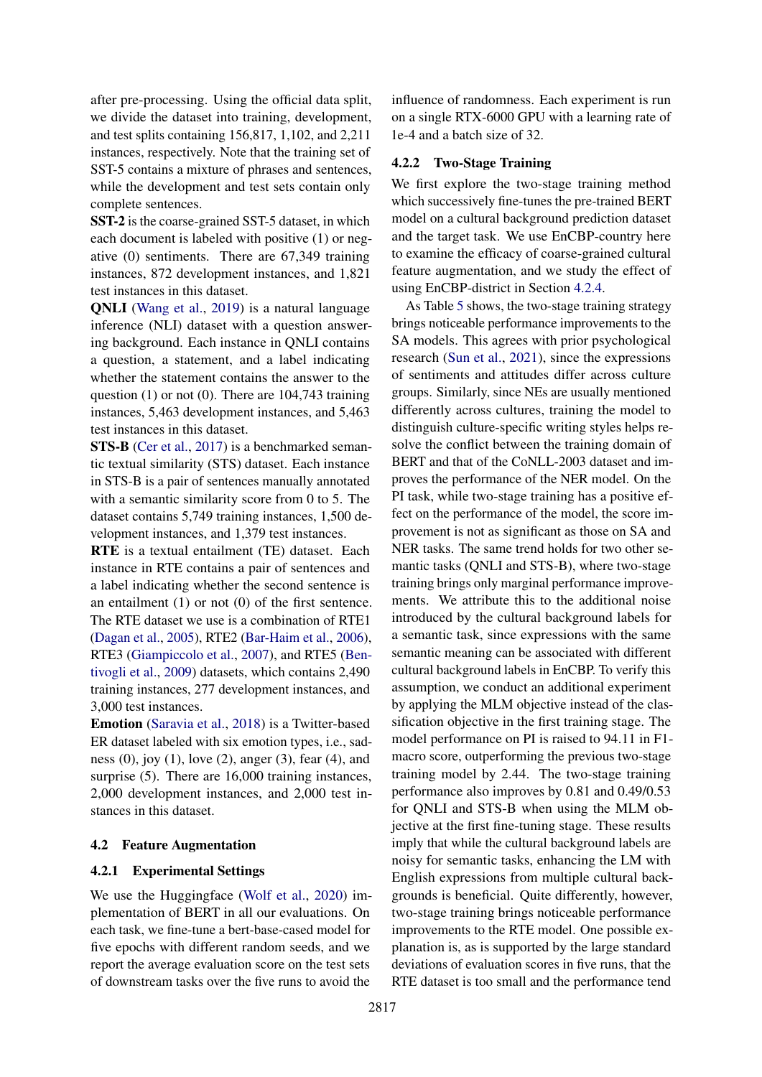after pre-processing. Using the official data split, we divide the dataset into training, development, and test splits containing 156,817, 1,102, and 2,211 instances, respectively. Note that the training set of SST-5 contains a mixture of phrases and sentences, while the development and test sets contain only complete sentences.

SST-2 is the coarse-grained SST-5 dataset, in which each document is labeled with positive (1) or negative (0) sentiments. There are 67,349 training instances, 872 development instances, and 1,821 test instances in this dataset.

QNLI [\(Wang et al.,](#page-10-10) [2019\)](#page-10-10) is a natural language inference (NLI) dataset with a question answering background. Each instance in QNLI contains a question, a statement, and a label indicating whether the statement contains the answer to the question (1) or not (0). There are 104,743 training instances, 5,463 development instances, and 5,463 test instances in this dataset.

STS-B [\(Cer et al.,](#page-9-10) [2017\)](#page-9-10) is a benchmarked semantic textual similarity (STS) dataset. Each instance in STS-B is a pair of sentences manually annotated with a semantic similarity score from 0 to 5. The dataset contains 5,749 training instances, 1,500 development instances, and 1,379 test instances.

RTE is a textual entailment (TE) dataset. Each instance in RTE contains a pair of sentences and a label indicating whether the second sentence is an entailment (1) or not (0) of the first sentence. The RTE dataset we use is a combination of RTE1 [\(Dagan et al.,](#page-9-11) [2005\)](#page-9-11), RTE2 [\(Bar-Haim et al.,](#page-9-12) [2006\)](#page-9-12), RTE3 [\(Giampiccolo et al.,](#page-9-13) [2007\)](#page-9-13), and RTE5 [\(Ben](#page-9-14)[tivogli et al.,](#page-9-14) [2009\)](#page-9-14) datasets, which contains 2,490 training instances, 277 development instances, and 3,000 test instances.

Emotion [\(Saravia et al.,](#page-10-11) [2018\)](#page-10-11) is a Twitter-based ER dataset labeled with six emotion types, i.e., sadness (0), joy (1), love (2), anger (3), fear (4), and surprise (5). There are 16,000 training instances, 2,000 development instances, and 2,000 test instances in this dataset.

### 4.2 Feature Augmentation

### 4.2.1 Experimental Settings

We use the Huggingface [\(Wolf et al.,](#page-10-12) [2020\)](#page-10-12) implementation of BERT in all our evaluations. On each task, we fine-tune a bert-base-cased model for five epochs with different random seeds, and we report the average evaluation score on the test sets of downstream tasks over the five runs to avoid the

influence of randomness. Each experiment is run on a single RTX-6000 GPU with a learning rate of 1e-4 and a batch size of 32.

### 4.2.2 Two-Stage Training

We first explore the two-stage training method which successively fine-tunes the pre-trained BERT model on a cultural background prediction dataset and the target task. We use EnCBP-country here to examine the efficacy of coarse-grained cultural feature augmentation, and we study the effect of using EnCBP-district in Section [4.2.4.](#page-8-0)

As Table [5](#page-7-0) shows, the two-stage training strategy brings noticeable performance improvements to the SA models. This agrees with prior psychological research [\(Sun et al.,](#page-10-1) [2021\)](#page-10-1), since the expressions of sentiments and attitudes differ across culture groups. Similarly, since NEs are usually mentioned differently across cultures, training the model to distinguish culture-specific writing styles helps resolve the conflict between the training domain of BERT and that of the CoNLL-2003 dataset and improves the performance of the NER model. On the PI task, while two-stage training has a positive effect on the performance of the model, the score improvement is not as significant as those on SA and NER tasks. The same trend holds for two other semantic tasks (QNLI and STS-B), where two-stage training brings only marginal performance improvements. We attribute this to the additional noise introduced by the cultural background labels for a semantic task, since expressions with the same semantic meaning can be associated with different cultural background labels in EnCBP. To verify this assumption, we conduct an additional experiment by applying the MLM objective instead of the classification objective in the first training stage. The model performance on PI is raised to 94.11 in F1 macro score, outperforming the previous two-stage training model by 2.44. The two-stage training performance also improves by 0.81 and 0.49/0.53 for QNLI and STS-B when using the MLM objective at the first fine-tuning stage. These results imply that while the cultural background labels are noisy for semantic tasks, enhancing the LM with English expressions from multiple cultural backgrounds is beneficial. Quite differently, however, two-stage training brings noticeable performance improvements to the RTE model. One possible explanation is, as is supported by the large standard deviations of evaluation scores in five runs, that the RTE dataset is too small and the performance tend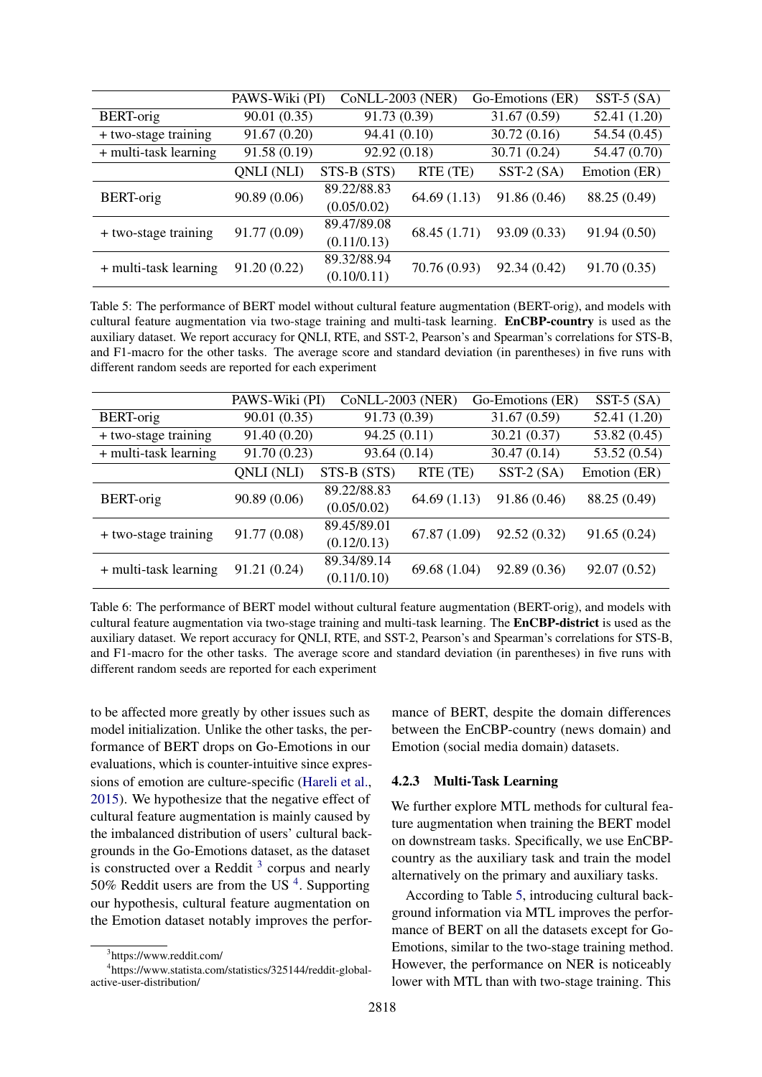<span id="page-7-0"></span>

|                       | PAWS-Wiki (PI) | <b>CoNLL-2003 (NER)</b>    |              | Go-Emotions (ER) | SST-5 $(SA)$ |
|-----------------------|----------------|----------------------------|--------------|------------------|--------------|
| BERT-orig             | 90.01(0.35)    | 91.73 (0.39)               |              | 31.67(0.59)      | 52.41 (1.20) |
| + two-stage training  | 91.67(0.20)    | 94.41 (0.10)               |              | 30.72(0.16)      | 54.54 (0.45) |
| + multi-task learning | 91.58 (0.19)   | 92.92 (0.18)               |              | 30.71 (0.24)     | 54.47 (0.70) |
|                       | QNLI (NLI)     | STS-B (STS)                | RTE (TE)     | $SST-2(SA)$      | Emotion (ER) |
| BERT-orig             | 90.89 (0.06)   | 89.22/88.83<br>(0.05/0.02) | 64.69(1.13)  | 91.86 (0.46)     | 88.25 (0.49) |
| + two-stage training  | 91.77 (0.09)   | 89.47/89.08<br>(0.11/0.13) | 68.45 (1.71) | 93.09 (0.33)     | 91.94 (0.50) |
| + multi-task learning | 91.20(0.22)    | 89.32/88.94<br>(0.10/0.11) | 70.76 (0.93) | 92.34 (0.42)     | 91.70 (0.35) |

Table 5: The performance of BERT model without cultural feature augmentation (BERT-orig), and models with cultural feature augmentation via two-stage training and multi-task learning. EnCBP-country is used as the auxiliary dataset. We report accuracy for QNLI, RTE, and SST-2, Pearson's and Spearman's correlations for STS-B, and F1-macro for the other tasks. The average score and standard deviation (in parentheses) in five runs with different random seeds are reported for each experiment

<span id="page-7-3"></span>

|                        | PAWS-Wiki (PI) | <b>CoNLL-2003 (NER)</b>    |              | Go-Emotions (ER) | $SST-5(SA)$  |  |
|------------------------|----------------|----------------------------|--------------|------------------|--------------|--|
| BERT-orig              | 90.01(0.35)    | 91.73 (0.39)               |              | 31.67 (0.59)     | 52.41 (1.20) |  |
| $+$ two-stage training | 91.40(0.20)    | 94.25(0.11)                |              | 30.21 (0.37)     | 53.82 (0.45) |  |
| + multi-task learning  | 91.70 (0.23)   | 93.64 (0.14)               |              | 30.47(0.14)      | 53.52 (0.54) |  |
|                        | QNLI (NLI)     | STS-B (STS)                | RTE (TE)     | $SST-2(SA)$      | Emotion (ER) |  |
| BERT-orig              | 90.89 (0.06)   | 89.22/88.83<br>(0.05/0.02) | 64.69(1.13)  | 91.86 (0.46)     | 88.25 (0.49) |  |
|                        |                | 89.45/89.01                |              |                  |              |  |
| + two-stage training   | 91.77 (0.08)   | (0.12/0.13)                | 67.87(1.09)  | 92.52(0.32)      | 91.65(0.24)  |  |
| + multi-task learning  | 91.21 (0.24)   | 89.34/89.14                | 69.68 (1.04) | 92.89 (0.36)     | 92.07 (0.52) |  |
|                        |                | (0.11/0.10)                |              |                  |              |  |

Table 6: The performance of BERT model without cultural feature augmentation (BERT-orig), and models with cultural feature augmentation via two-stage training and multi-task learning. The EnCBP-district is used as the auxiliary dataset. We report accuracy for QNLI, RTE, and SST-2, Pearson's and Spearman's correlations for STS-B, and F1-macro for the other tasks. The average score and standard deviation (in parentheses) in five runs with different random seeds are reported for each experiment

to be affected more greatly by other issues such as model initialization. Unlike the other tasks, the performance of BERT drops on Go-Emotions in our evaluations, which is counter-intuitive since expressions of emotion are culture-specific [\(Hareli et al.,](#page-9-4) [2015\)](#page-9-4). We hypothesize that the negative effect of cultural feature augmentation is mainly caused by the imbalanced distribution of users' cultural backgrounds in the Go-Emotions dataset, as the dataset is constructed over a Reddit  $3$  corpus and nearly 50% Reddit users are from the US<sup>[4](#page-7-2)</sup>. Supporting our hypothesis, cultural feature augmentation on the Emotion dataset notably improves the performance of BERT, despite the domain differences between the EnCBP-country (news domain) and Emotion (social media domain) datasets.

#### 4.2.3 Multi-Task Learning

We further explore MTL methods for cultural feature augmentation when training the BERT model on downstream tasks. Specifically, we use EnCBPcountry as the auxiliary task and train the model alternatively on the primary and auxiliary tasks.

According to Table [5,](#page-7-0) introducing cultural background information via MTL improves the performance of BERT on all the datasets except for Go-Emotions, similar to the two-stage training method. However, the performance on NER is noticeably lower with MTL than with two-stage training. This

<span id="page-7-2"></span><span id="page-7-1"></span><sup>3</sup> https://www.reddit.com/

<sup>4</sup> https://www.statista.com/statistics/325144/reddit-globalactive-user-distribution/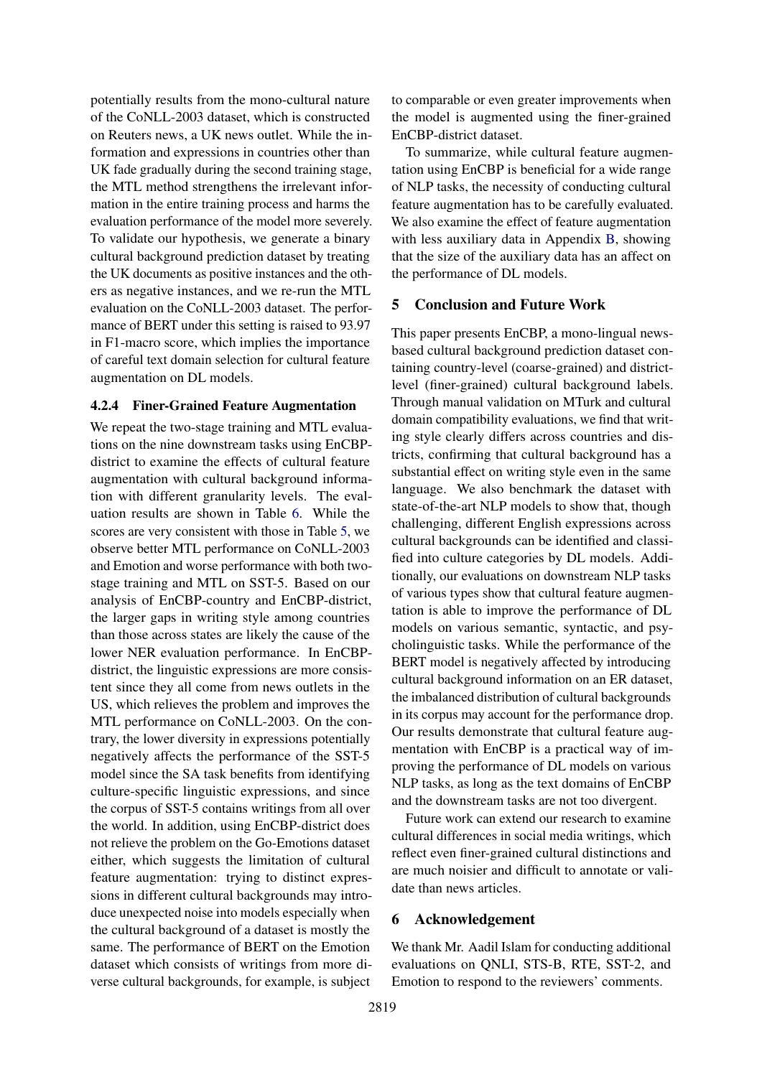potentially results from the mono-cultural nature of the CoNLL-2003 dataset, which is constructed on Reuters news, a UK news outlet. While the information and expressions in countries other than UK fade gradually during the second training stage, the MTL method strengthens the irrelevant information in the entire training process and harms the evaluation performance of the model more severely. To validate our hypothesis, we generate a binary cultural background prediction dataset by treating the UK documents as positive instances and the others as negative instances, and we re-run the MTL evaluation on the CoNLL-2003 dataset. The performance of BERT under this setting is raised to 93.97 in F1-macro score, which implies the importance of careful text domain selection for cultural feature augmentation on DL models.

#### <span id="page-8-0"></span>4.2.4 Finer-Grained Feature Augmentation

We repeat the two-stage training and MTL evaluations on the nine downstream tasks using EnCBPdistrict to examine the effects of cultural feature augmentation with cultural background information with different granularity levels. The evaluation results are shown in Table [6.](#page-7-3) While the scores are very consistent with those in Table [5,](#page-7-0) we observe better MTL performance on CoNLL-2003 and Emotion and worse performance with both twostage training and MTL on SST-5. Based on our analysis of EnCBP-country and EnCBP-district, the larger gaps in writing style among countries than those across states are likely the cause of the lower NER evaluation performance. In EnCBPdistrict, the linguistic expressions are more consistent since they all come from news outlets in the US, which relieves the problem and improves the MTL performance on CoNLL-2003. On the contrary, the lower diversity in expressions potentially negatively affects the performance of the SST-5 model since the SA task benefits from identifying culture-specific linguistic expressions, and since the corpus of SST-5 contains writings from all over the world. In addition, using EnCBP-district does not relieve the problem on the Go-Emotions dataset either, which suggests the limitation of cultural feature augmentation: trying to distinct expressions in different cultural backgrounds may introduce unexpected noise into models especially when the cultural background of a dataset is mostly the same. The performance of BERT on the Emotion dataset which consists of writings from more diverse cultural backgrounds, for example, is subject

to comparable or even greater improvements when the model is augmented using the finer-grained EnCBP-district dataset.

To summarize, while cultural feature augmentation using EnCBP is beneficial for a wide range of NLP tasks, the necessity of conducting cultural feature augmentation has to be carefully evaluated. We also examine the effect of feature augmentation with less auxiliary data in Appendix [B,](#page-11-1) showing that the size of the auxiliary data has an affect on the performance of DL models.

### 5 Conclusion and Future Work

This paper presents EnCBP, a mono-lingual newsbased cultural background prediction dataset containing country-level (coarse-grained) and districtlevel (finer-grained) cultural background labels. Through manual validation on MTurk and cultural domain compatibility evaluations, we find that writing style clearly differs across countries and districts, confirming that cultural background has a substantial effect on writing style even in the same language. We also benchmark the dataset with state-of-the-art NLP models to show that, though challenging, different English expressions across cultural backgrounds can be identified and classified into culture categories by DL models. Additionally, our evaluations on downstream NLP tasks of various types show that cultural feature augmentation is able to improve the performance of DL models on various semantic, syntactic, and psycholinguistic tasks. While the performance of the BERT model is negatively affected by introducing cultural background information on an ER dataset, the imbalanced distribution of cultural backgrounds in its corpus may account for the performance drop. Our results demonstrate that cultural feature augmentation with EnCBP is a practical way of improving the performance of DL models on various NLP tasks, as long as the text domains of EnCBP and the downstream tasks are not too divergent.

Future work can extend our research to examine cultural differences in social media writings, which reflect even finer-grained cultural distinctions and are much noisier and difficult to annotate or validate than news articles.

### 6 Acknowledgement

We thank Mr. Aadil Islam for conducting additional evaluations on QNLI, STS-B, RTE, SST-2, and Emotion to respond to the reviewers' comments.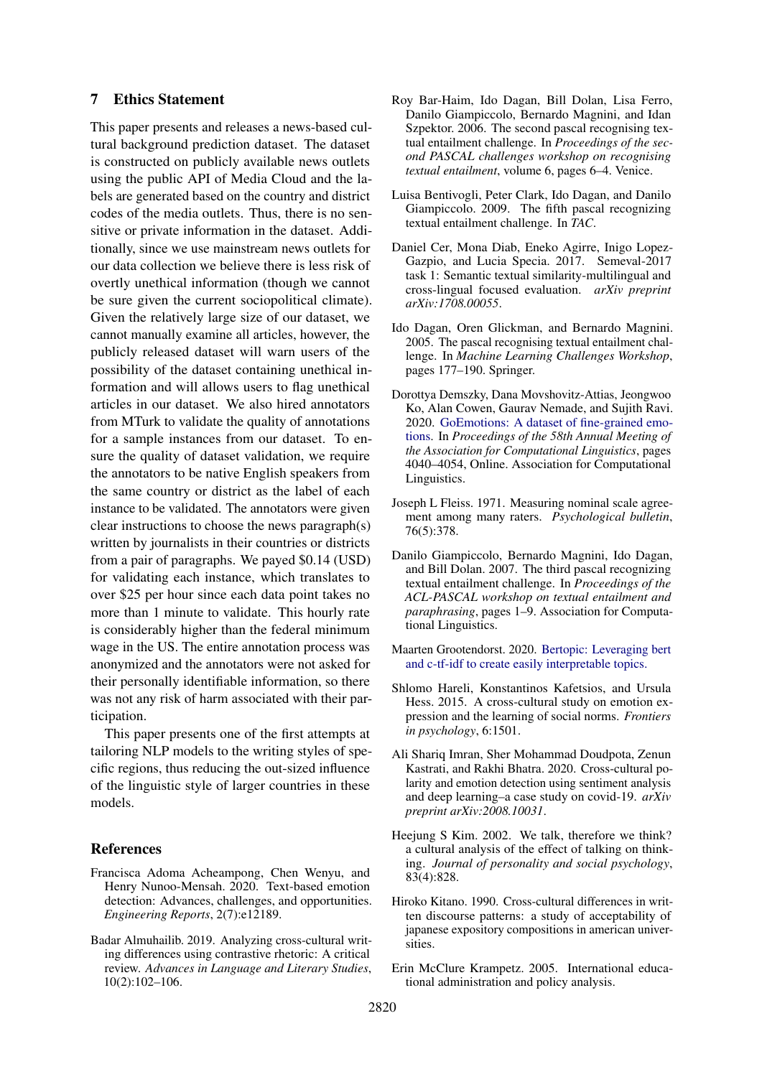### 7 Ethics Statement

This paper presents and releases a news-based cultural background prediction dataset. The dataset is constructed on publicly available news outlets using the public API of Media Cloud and the labels are generated based on the country and district codes of the media outlets. Thus, there is no sensitive or private information in the dataset. Additionally, since we use mainstream news outlets for our data collection we believe there is less risk of overtly unethical information (though we cannot be sure given the current sociopolitical climate). Given the relatively large size of our dataset, we cannot manually examine all articles, however, the publicly released dataset will warn users of the possibility of the dataset containing unethical information and will allows users to flag unethical articles in our dataset. We also hired annotators from MTurk to validate the quality of annotations for a sample instances from our dataset. To ensure the quality of dataset validation, we require the annotators to be native English speakers from the same country or district as the label of each instance to be validated. The annotators were given clear instructions to choose the news paragraph(s) written by journalists in their countries or districts from a pair of paragraphs. We payed \$0.14 (USD) for validating each instance, which translates to over \$25 per hour since each data point takes no more than 1 minute to validate. This hourly rate is considerably higher than the federal minimum wage in the US. The entire annotation process was anonymized and the annotators were not asked for their personally identifiable information, so there was not any risk of harm associated with their participation.

This paper presents one of the first attempts at tailoring NLP models to the writing styles of specific regions, thus reducing the out-sized influence of the linguistic style of larger countries in these models.

#### References

- <span id="page-9-5"></span>Francisca Adoma Acheampong, Chen Wenyu, and Henry Nunoo-Mensah. 2020. Text-based emotion detection: Advances, challenges, and opportunities. *Engineering Reports*, 2(7):e12189.
- <span id="page-9-2"></span>Badar Almuhailib. 2019. Analyzing cross-cultural writing differences using contrastive rhetoric: A critical review. *Advances in Language and Literary Studies*, 10(2):102–106.
- <span id="page-9-12"></span>Roy Bar-Haim, Ido Dagan, Bill Dolan, Lisa Ferro, Danilo Giampiccolo, Bernardo Magnini, and Idan Szpektor. 2006. The second pascal recognising textual entailment challenge. In *Proceedings of the second PASCAL challenges workshop on recognising textual entailment*, volume 6, pages 6–4. Venice.
- <span id="page-9-14"></span>Luisa Bentivogli, Peter Clark, Ido Dagan, and Danilo Giampiccolo. 2009. The fifth pascal recognizing textual entailment challenge. In *TAC*.
- <span id="page-9-10"></span>Daniel Cer, Mona Diab, Eneko Agirre, Inigo Lopez-Gazpio, and Lucia Specia. 2017. Semeval-2017 task 1: Semantic textual similarity-multilingual and cross-lingual focused evaluation. *arXiv preprint arXiv:1708.00055*.
- <span id="page-9-11"></span>Ido Dagan, Oren Glickman, and Bernardo Magnini. 2005. The pascal recognising textual entailment challenge. In *Machine Learning Challenges Workshop*, pages 177–190. Springer.
- <span id="page-9-9"></span>Dorottya Demszky, Dana Movshovitz-Attias, Jeongwoo Ko, Alan Cowen, Gaurav Nemade, and Sujith Ravi. 2020. [GoEmotions: A dataset of fine-grained emo](https://doi.org/10.18653/v1/2020.acl-main.372)[tions.](https://doi.org/10.18653/v1/2020.acl-main.372) In *Proceedings of the 58th Annual Meeting of the Association for Computational Linguistics*, pages 4040–4054, Online. Association for Computational Linguistics.
- <span id="page-9-7"></span>Joseph L Fleiss. 1971. Measuring nominal scale agreement among many raters. *Psychological bulletin*, 76(5):378.
- <span id="page-9-13"></span>Danilo Giampiccolo, Bernardo Magnini, Ido Dagan, and Bill Dolan. 2007. The third pascal recognizing textual entailment challenge. In *Proceedings of the ACL-PASCAL workshop on textual entailment and paraphrasing*, pages 1–9. Association for Computational Linguistics.
- <span id="page-9-8"></span>Maarten Grootendorst. 2020. [Bertopic: Leveraging bert](https://doi.org/10.5281/zenodo.4381785) [and c-tf-idf to create easily interpretable topics.](https://doi.org/10.5281/zenodo.4381785)
- <span id="page-9-4"></span>Shlomo Hareli, Konstantinos Kafetsios, and Ursula Hess. 2015. A cross-cultural study on emotion expression and the learning of social norms. *Frontiers in psychology*, 6:1501.
- <span id="page-9-6"></span>Ali Shariq Imran, Sher Mohammad Doudpota, Zenun Kastrati, and Rakhi Bhatra. 2020. Cross-cultural polarity and emotion detection using sentiment analysis and deep learning–a case study on covid-19. *arXiv preprint arXiv:2008.10031*.
- <span id="page-9-0"></span>Heejung S Kim. 2002. We talk, therefore we think? a cultural analysis of the effect of talking on thinking. *Journal of personality and social psychology*, 83(4):828.
- <span id="page-9-3"></span>Hiroko Kitano. 1990. Cross-cultural differences in written discourse patterns: a study of acceptability of japanese expository compositions in american universities.
- <span id="page-9-1"></span>Erin McClure Krampetz. 2005. International educational administration and policy analysis.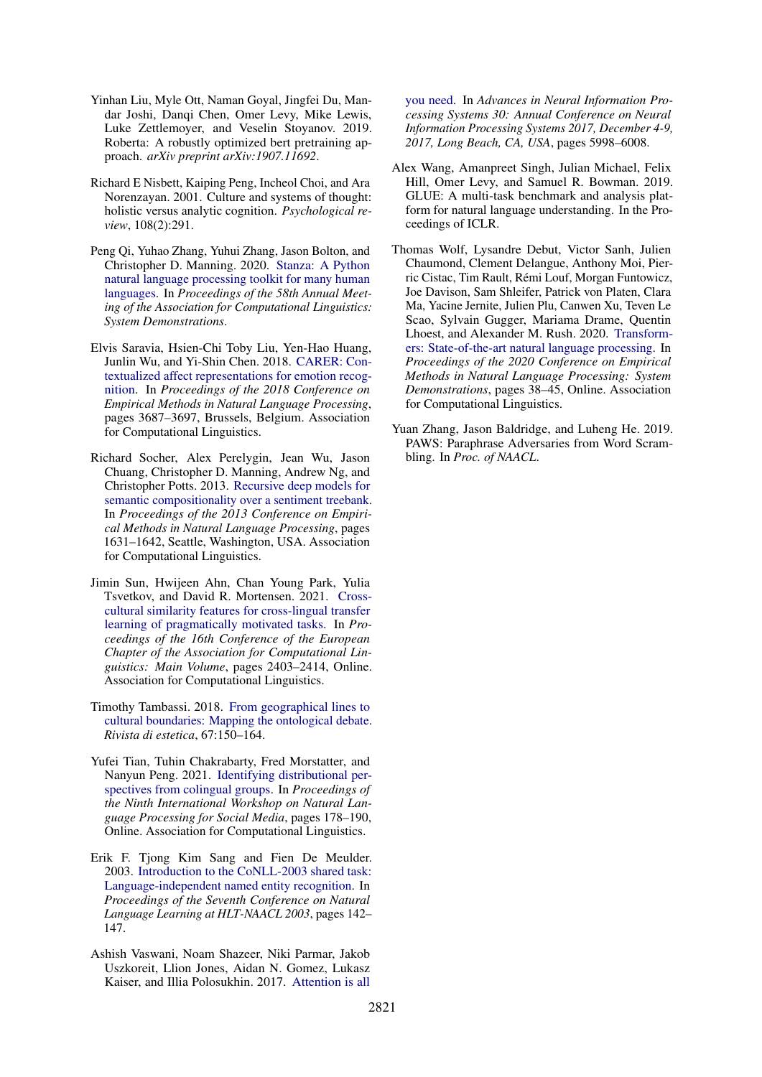- <span id="page-10-5"></span>Yinhan Liu, Myle Ott, Naman Goyal, Jingfei Du, Mandar Joshi, Danqi Chen, Omer Levy, Mike Lewis, Luke Zettlemoyer, and Veselin Stoyanov. 2019. Roberta: A robustly optimized bert pretraining approach. *arXiv preprint arXiv:1907.11692*.
- <span id="page-10-0"></span>Richard E Nisbett, Kaiping Peng, Incheol Choi, and Ara Norenzayan. 2001. Culture and systems of thought: holistic versus analytic cognition. *Psychological review*, 108(2):291.
- <span id="page-10-6"></span>Peng Qi, Yuhao Zhang, Yuhui Zhang, Jason Bolton, and Christopher D. Manning. 2020. [Stanza: A Python](https://nlp.stanford.edu/pubs/qi2020stanza.pdf) [natural language processing toolkit for many human](https://nlp.stanford.edu/pubs/qi2020stanza.pdf) [languages.](https://nlp.stanford.edu/pubs/qi2020stanza.pdf) In *Proceedings of the 58th Annual Meeting of the Association for Computational Linguistics: System Demonstrations*.
- <span id="page-10-11"></span>Elvis Saravia, Hsien-Chi Toby Liu, Yen-Hao Huang, Junlin Wu, and Yi-Shin Chen. 2018. [CARER: Con](https://doi.org/10.18653/v1/D18-1404)[textualized affect representations for emotion recog](https://doi.org/10.18653/v1/D18-1404)[nition.](https://doi.org/10.18653/v1/D18-1404) In *Proceedings of the 2018 Conference on Empirical Methods in Natural Language Processing*, pages 3687–3697, Brussels, Belgium. Association for Computational Linguistics.
- <span id="page-10-9"></span>Richard Socher, Alex Perelygin, Jean Wu, Jason Chuang, Christopher D. Manning, Andrew Ng, and Christopher Potts. 2013. [Recursive deep models for](https://www.aclweb.org/anthology/D13-1170) [semantic compositionality over a sentiment treebank.](https://www.aclweb.org/anthology/D13-1170) In *Proceedings of the 2013 Conference on Empirical Methods in Natural Language Processing*, pages 1631–1642, Seattle, Washington, USA. Association for Computational Linguistics.
- <span id="page-10-1"></span>Jimin Sun, Hwijeen Ahn, Chan Young Park, Yulia Tsvetkov, and David R. Mortensen. 2021. [Cross](https://doi.org/10.18653/v1/2021.eacl-main.204)[cultural similarity features for cross-lingual transfer](https://doi.org/10.18653/v1/2021.eacl-main.204) [learning of pragmatically motivated tasks.](https://doi.org/10.18653/v1/2021.eacl-main.204) In *Proceedings of the 16th Conference of the European Chapter of the Association for Computational Linguistics: Main Volume*, pages 2403–2414, Online. Association for Computational Linguistics.
- <span id="page-10-3"></span>Timothy Tambassi. 2018. [From geographical lines to](https://doi.org/10.4000/estetica.2752) [cultural boundaries: Mapping the ontological debate.](https://doi.org/10.4000/estetica.2752) *Rivista di estetica*, 67:150–164.
- <span id="page-10-2"></span>Yufei Tian, Tuhin Chakrabarty, Fred Morstatter, and Nanyun Peng. 2021. [Identifying distributional per](https://doi.org/10.18653/v1/2021.socialnlp-1.16)[spectives from colingual groups.](https://doi.org/10.18653/v1/2021.socialnlp-1.16) In *Proceedings of the Ninth International Workshop on Natural Language Processing for Social Media*, pages 178–190, Online. Association for Computational Linguistics.
- <span id="page-10-8"></span>Erik F. Tjong Kim Sang and Fien De Meulder. 2003. [Introduction to the CoNLL-2003 shared task:](https://aclanthology.org/W03-0419) [Language-independent named entity recognition.](https://aclanthology.org/W03-0419) In *Proceedings of the Seventh Conference on Natural Language Learning at HLT-NAACL 2003*, pages 142– 147.
- <span id="page-10-4"></span>Ashish Vaswani, Noam Shazeer, Niki Parmar, Jakob Uszkoreit, Llion Jones, Aidan N. Gomez, Lukasz Kaiser, and Illia Polosukhin. 2017. [Attention is all](https://proceedings.neurips.cc/paper/2017/hash/3f5ee243547dee91fbd053c1c4a845aa-Abstract.html)

[you need.](https://proceedings.neurips.cc/paper/2017/hash/3f5ee243547dee91fbd053c1c4a845aa-Abstract.html) In *Advances in Neural Information Processing Systems 30: Annual Conference on Neural Information Processing Systems 2017, December 4-9, 2017, Long Beach, CA, USA*, pages 5998–6008.

- <span id="page-10-10"></span>Alex Wang, Amanpreet Singh, Julian Michael, Felix Hill, Omer Levy, and Samuel R. Bowman. 2019. GLUE: A multi-task benchmark and analysis platform for natural language understanding. In the Proceedings of ICLR.
- <span id="page-10-12"></span>Thomas Wolf, Lysandre Debut, Victor Sanh, Julien Chaumond, Clement Delangue, Anthony Moi, Pierric Cistac, Tim Rault, Rémi Louf, Morgan Funtowicz, Joe Davison, Sam Shleifer, Patrick von Platen, Clara Ma, Yacine Jernite, Julien Plu, Canwen Xu, Teven Le Scao, Sylvain Gugger, Mariama Drame, Quentin Lhoest, and Alexander M. Rush. 2020. [Transform](https://www.aclweb.org/anthology/2020.emnlp-demos.6)[ers: State-of-the-art natural language processing.](https://www.aclweb.org/anthology/2020.emnlp-demos.6) In *Proceedings of the 2020 Conference on Empirical Methods in Natural Language Processing: System Demonstrations*, pages 38–45, Online. Association for Computational Linguistics.
- <span id="page-10-7"></span>Yuan Zhang, Jason Baldridge, and Luheng He. 2019. PAWS: Paraphrase Adversaries from Word Scrambling. In *Proc. of NAACL*.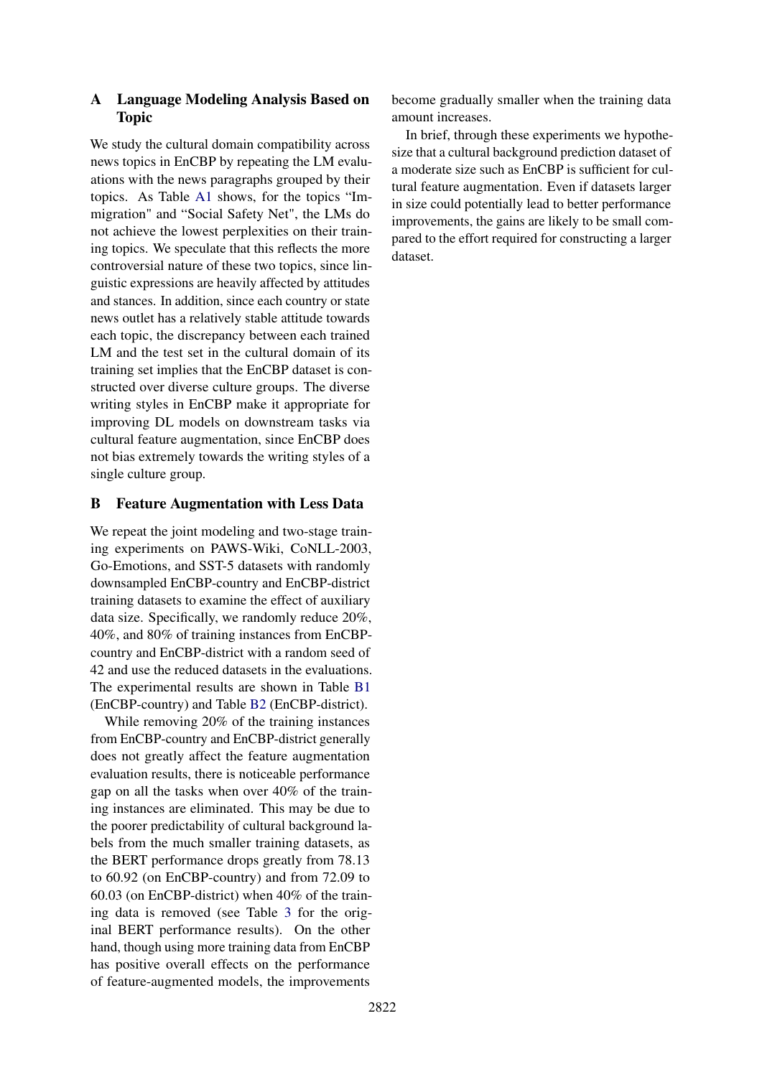# <span id="page-11-0"></span>A Language Modeling Analysis Based on Topic

We study the cultural domain compatibility across news topics in EnCBP by repeating the LM evaluations with the news paragraphs grouped by their topics. As Table [A1](#page-12-0) shows, for the topics "Immigration" and "Social Safety Net", the LMs do not achieve the lowest perplexities on their training topics. We speculate that this reflects the more controversial nature of these two topics, since linguistic expressions are heavily affected by attitudes and stances. In addition, since each country or state news outlet has a relatively stable attitude towards each topic, the discrepancy between each trained LM and the test set in the cultural domain of its training set implies that the EnCBP dataset is constructed over diverse culture groups. The diverse writing styles in EnCBP make it appropriate for improving DL models on downstream tasks via cultural feature augmentation, since EnCBP does not bias extremely towards the writing styles of a single culture group.

## <span id="page-11-1"></span>B Feature Augmentation with Less Data

We repeat the joint modeling and two-stage training experiments on PAWS-Wiki, CoNLL-2003, Go-Emotions, and SST-5 datasets with randomly downsampled EnCBP-country and EnCBP-district training datasets to examine the effect of auxiliary data size. Specifically, we randomly reduce 20%, 40%, and 80% of training instances from EnCBPcountry and EnCBP-district with a random seed of 42 and use the reduced datasets in the evaluations. The experimental results are shown in Table [B1](#page-12-1) (EnCBP-country) and Table [B2](#page-12-2) (EnCBP-district).

While removing 20% of the training instances from EnCBP-country and EnCBP-district generally does not greatly affect the feature augmentation evaluation results, there is noticeable performance gap on all the tasks when over 40% of the training instances are eliminated. This may be due to the poorer predictability of cultural background labels from the much smaller training datasets, as the BERT performance drops greatly from 78.13 to 60.92 (on EnCBP-country) and from 72.09 to 60.03 (on EnCBP-district) when 40% of the training data is removed (see Table [3](#page-3-1) for the original BERT performance results). On the other hand, though using more training data from EnCBP has positive overall effects on the performance of feature-augmented models, the improvements

become gradually smaller when the training data amount increases.

In brief, through these experiments we hypothesize that a cultural background prediction dataset of a moderate size such as EnCBP is sufficient for cultural feature augmentation. Even if datasets larger in size could potentially lead to better performance improvements, the gains are likely to be small compared to the effort required for constructing a larger dataset.